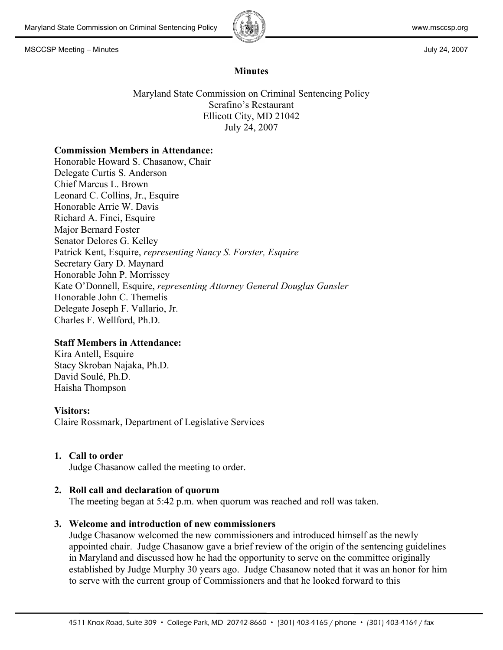

## **Minutes**

Maryland State Commission on Criminal Sentencing Policy Serafino's Restaurant Ellicott City, MD 21042 July 24, 2007

#### **Commission Members in Attendance:**

Honorable Howard S. Chasanow, Chair Delegate Curtis S. Anderson Chief Marcus L. Brown Leonard C. Collins, Jr., Esquire Honorable Arrie W. Davis Richard A. Finci, Esquire Major Bernard Foster Senator Delores G. Kelley Patrick Kent, Esquire, *representing Nancy S. Forster, Esquire* Secretary Gary D. Maynard Honorable John P. Morrissey Kate O'Donnell, Esquire, *representing Attorney General Douglas Gansler* Honorable John C. Themelis Delegate Joseph F. Vallario, Jr. Charles F. Wellford, Ph.D.

## **Staff Members in Attendance:**

Kira Antell, Esquire Stacy Skroban Najaka, Ph.D. David Soulé, Ph.D. Haisha Thompson

## **Visitors:**

Claire Rossmark, Department of Legislative Services

## **1. Call to order**

Judge Chasanow called the meeting to order.

## **2. Roll call and declaration of quorum**

The meeting began at 5:42 p.m. when quorum was reached and roll was taken.

## **3. Welcome and introduction of new commissioners**

Judge Chasanow welcomed the new commissioners and introduced himself as the newly appointed chair. Judge Chasanow gave a brief review of the origin of the sentencing guidelines in Maryland and discussed how he had the opportunity to serve on the committee originally established by Judge Murphy 30 years ago. Judge Chasanow noted that it was an honor for him to serve with the current group of Commissioners and that he looked forward to this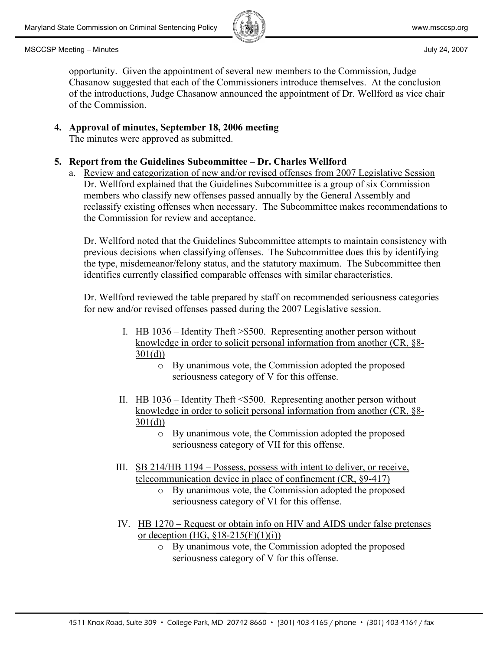

opportunity. Given the appointment of several new members to the Commission, Judge Chasanow suggested that each of the Commissioners introduce themselves. At the conclusion of the introductions, Judge Chasanow announced the appointment of Dr. Wellford as vice chair of the Commission.

# **4. Approval of minutes, September 18, 2006 meeting**

The minutes were approved as submitted.

## **5. Report from the Guidelines Subcommittee – Dr. Charles Wellford**

a. Review and categorization of new and/or revised offenses from 2007 Legislative Session Dr. Wellford explained that the Guidelines Subcommittee is a group of six Commission members who classify new offenses passed annually by the General Assembly and reclassify existing offenses when necessary. The Subcommittee makes recommendations to the Commission for review and acceptance.

Dr. Wellford noted that the Guidelines Subcommittee attempts to maintain consistency with previous decisions when classifying offenses. The Subcommittee does this by identifying the type, misdemeanor/felony status, and the statutory maximum. The Subcommittee then identifies currently classified comparable offenses with similar characteristics.

Dr. Wellford reviewed the table prepared by staff on recommended seriousness categories for new and/or revised offenses passed during the 2007 Legislative session.

- I. HB 1036 Identity Theft >\$500. Representing another person without knowledge in order to solicit personal information from another (CR, §8-  $301(d)$ 
	- o By unanimous vote, the Commission adopted the proposed seriousness category of V for this offense.
- II. HB 1036 Identity Theft <\$500. Representing another person without knowledge in order to solicit personal information from another (CR, §8-  $301(d)$ 
	- o By unanimous vote, the Commission adopted the proposed seriousness category of VII for this offense.
- III. SB 214/HB 1194 Possess, possess with intent to deliver, or receive, telecommunication device in place of confinement (CR, §9-417)
	- o By unanimous vote, the Commission adopted the proposed seriousness category of VI for this offense.
- IV. HB 1270 Request or obtain info on HIV and AIDS under false pretenses or deception (HG,  $$18-215(F)(1)(i)$ )
	- o By unanimous vote, the Commission adopted the proposed seriousness category of V for this offense.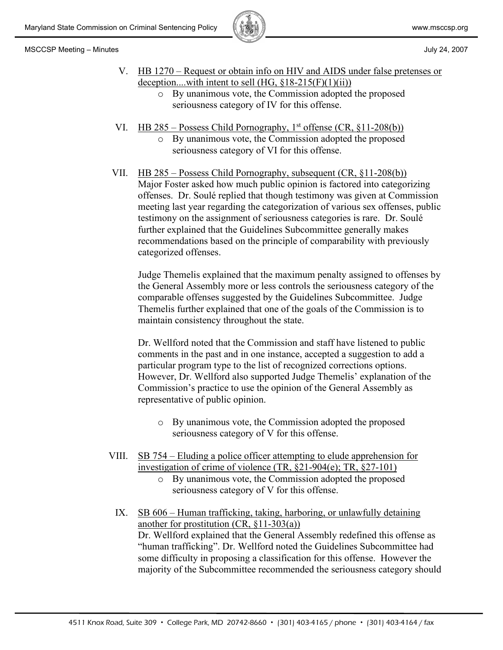

- V. HB 1270 Request or obtain info on HIV and AIDS under false pretenses or deception....with intent to sell (HG, §18-215(F)(1)(ii))
	- o By unanimous vote, the Commission adopted the proposed seriousness category of IV for this offense.
- VI. HB 285 Possess Child Pornography,  $1<sup>st</sup>$  offense (CR,  $\S11-208(b)$ )
	- o By unanimous vote, the Commission adopted the proposed seriousness category of VI for this offense.
- VII. HB 285 Possess Child Pornography, subsequent (CR, §11-208(b)) Major Foster asked how much public opinion is factored into categorizing offenses. Dr. Soulé replied that though testimony was given at Commission meeting last year regarding the categorization of various sex offenses, public testimony on the assignment of seriousness categories is rare. Dr. Soulé further explained that the Guidelines Subcommittee generally makes recommendations based on the principle of comparability with previously categorized offenses.

Judge Themelis explained that the maximum penalty assigned to offenses by the General Assembly more or less controls the seriousness category of the comparable offenses suggested by the Guidelines Subcommittee. Judge Themelis further explained that one of the goals of the Commission is to maintain consistency throughout the state.

Dr. Wellford noted that the Commission and staff have listened to public comments in the past and in one instance, accepted a suggestion to add a particular program type to the list of recognized corrections options. However, Dr. Wellford also supported Judge Themelis' explanation of the Commission's practice to use the opinion of the General Assembly as representative of public opinion.

- o By unanimous vote, the Commission adopted the proposed seriousness category of V for this offense.
- VIII. SB 754 Eluding a police officer attempting to elude apprehension for investigation of crime of violence (TR, §21-904(e); TR, §27-101)
	- o By unanimous vote, the Commission adopted the proposed seriousness category of V for this offense.
	- IX. SB 606 Human trafficking, taking, harboring, or unlawfully detaining another for prostitution (CR, §11-303(a)) Dr. Wellford explained that the General Assembly redefined this offense as "human trafficking". Dr. Wellford noted the Guidelines Subcommittee had some difficulty in proposing a classification for this offense. However the majority of the Subcommittee recommended the seriousness category should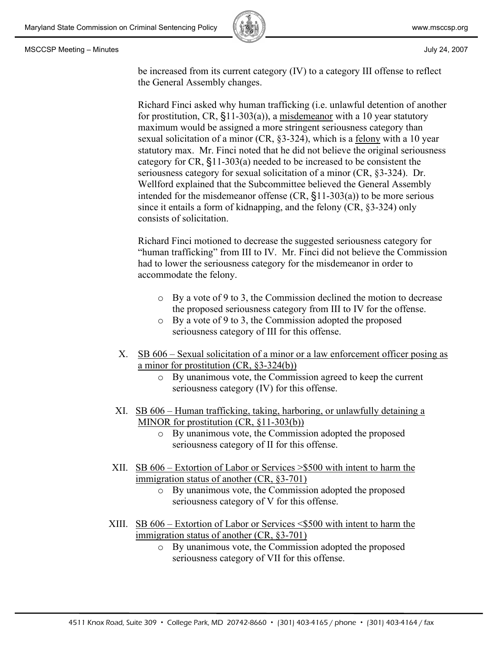

be increased from its current category (IV) to a category III offense to reflect the General Assembly changes.

Richard Finci asked why human trafficking (i.e. unlawful detention of another for prostitution, CR, §11-303(a)), a misdemeanor with a 10 year statutory maximum would be assigned a more stringent seriousness category than sexual solicitation of a minor (CR, §3-324), which is a felony with a 10 year statutory max. Mr. Finci noted that he did not believe the original seriousness category for CR, §11-303(a) needed to be increased to be consistent the seriousness category for sexual solicitation of a minor (CR, §3-324). Dr. Wellford explained that the Subcommittee believed the General Assembly intended for the misdemeanor offense (CR, §11-303(a)) to be more serious since it entails a form of kidnapping, and the felony (CR, §3-324) only consists of solicitation.

Richard Finci motioned to decrease the suggested seriousness category for "human trafficking" from III to IV. Mr. Finci did not believe the Commission had to lower the seriousness category for the misdemeanor in order to accommodate the felony.

- o By a vote of 9 to 3, the Commission declined the motion to decrease the proposed seriousness category from III to IV for the offense.
- o By a vote of 9 to 3, the Commission adopted the proposed seriousness category of III for this offense.
- X. SB 606 Sexual solicitation of a minor or a law enforcement officer posing as a minor for prostitution (CR, §3-324(b))
	- o By unanimous vote, the Commission agreed to keep the current seriousness category (IV) for this offense.
- XI. SB 606 Human trafficking, taking, harboring, or unlawfully detaining a MINOR for prostitution (CR, §11-303(b))
	- o By unanimous vote, the Commission adopted the proposed seriousness category of II for this offense.
- XII. SB 606 Extortion of Labor or Services >\$500 with intent to harm the immigration status of another (CR, §3-701)
	- o By unanimous vote, the Commission adopted the proposed seriousness category of V for this offense.
- XIII. SB 606 Extortion of Labor or Services <\$500 with intent to harm the immigration status of another (CR, §3-701)
	- o By unanimous vote, the Commission adopted the proposed seriousness category of VII for this offense.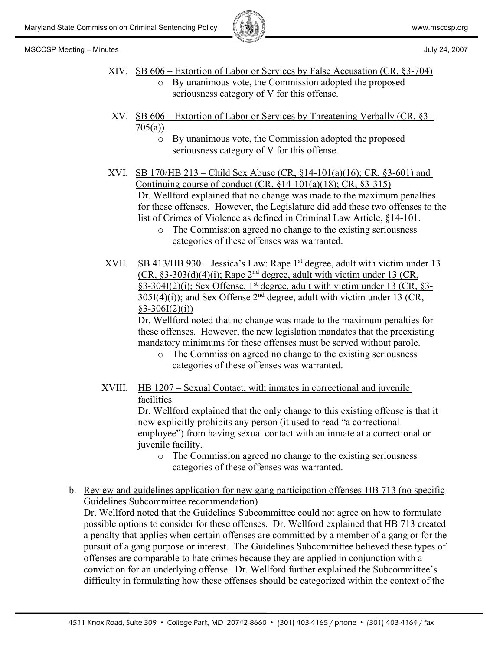



- 
- XIV. SB 606 Extortion of Labor or Services by False Accusation (CR, §3-704) o By unanimous vote, the Commission adopted the proposed
	- seriousness category of V for this offense.
- XV. SB  $606$  Extortion of Labor or Services by Threatening Verbally (CR,  $\S$ 3-705(a))
	- o By unanimous vote, the Commission adopted the proposed seriousness category of V for this offense.
- XVI. SB 170/HB 213 Child Sex Abuse (CR,  $\S$ 14-101(a)(16); CR,  $\S$ 3-601) and Continuing course of conduct  $(CR, \S{14-101(a)(18)}; CR, \S{3-315})$ Dr. Wellford explained that no change was made to the maximum penalties for these offenses. However, the Legislature did add these two offenses to the list of Crimes of Violence as defined in Criminal Law Article, §14-101.
	- o The Commission agreed no change to the existing seriousness categories of these offenses was warranted.
- XVII. SB 413/HB 930 Jessica's Law: Rape  $1<sup>st</sup>$  degree, adult with victim under 13  $(CR, \S3-303(d)(4)(i))$ ; Rape  $2<sup>nd</sup>$  degree, adult with victim under 13 (CR, §3-304I(2)(i); Sex Offense, 1<sup>st</sup> degree, adult with victim under 13 (CR, §3- $305I(4)(i)$ ; and Sex Offense  $2<sup>nd</sup>$  degree, adult with victim under 13 (CR,  $§3 - 306I(2)(i))$

Dr. Wellford noted that no change was made to the maximum penalties for these offenses. However, the new legislation mandates that the preexisting mandatory minimums for these offenses must be served without parole.

- o The Commission agreed no change to the existing seriousness categories of these offenses was warranted.
- XVIII. HB 1207 Sexual Contact, with inmates in correctional and juvenile facilities

Dr. Wellford explained that the only change to this existing offense is that it now explicitly prohibits any person (it used to read "a correctional employee") from having sexual contact with an inmate at a correctional or juvenile facility.

- o The Commission agreed no change to the existing seriousness categories of these offenses was warranted.
- b. Review and guidelines application for new gang participation offenses-HB 713 (no specific Guidelines Subcommittee recommendation)

Dr. Wellford noted that the Guidelines Subcommittee could not agree on how to formulate possible options to consider for these offenses. Dr. Wellford explained that HB 713 created a penalty that applies when certain offenses are committed by a member of a gang or for the pursuit of a gang purpose or interest. The Guidelines Subcommittee believed these types of offenses are comparable to hate crimes because they are applied in conjunction with a conviction for an underlying offense. Dr. Wellford further explained the Subcommittee's difficulty in formulating how these offenses should be categorized within the context of the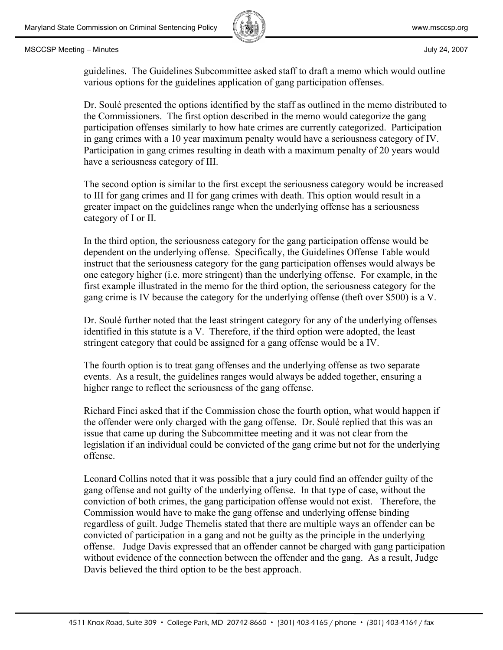

guidelines. The Guidelines Subcommittee asked staff to draft a memo which would outline various options for the guidelines application of gang participation offenses.

Dr. Soulé presented the options identified by the staff as outlined in the memo distributed to the Commissioners. The first option described in the memo would categorize the gang participation offenses similarly to how hate crimes are currently categorized. Participation in gang crimes with a 10 year maximum penalty would have a seriousness category of IV. Participation in gang crimes resulting in death with a maximum penalty of 20 years would have a seriousness category of III.

The second option is similar to the first except the seriousness category would be increased to III for gang crimes and II for gang crimes with death. This option would result in a greater impact on the guidelines range when the underlying offense has a seriousness category of I or II.

In the third option, the seriousness category for the gang participation offense would be dependent on the underlying offense. Specifically, the Guidelines Offense Table would instruct that the seriousness category for the gang participation offenses would always be one category higher (i.e. more stringent) than the underlying offense. For example, in the first example illustrated in the memo for the third option, the seriousness category for the gang crime is IV because the category for the underlying offense (theft over \$500) is a V.

Dr. Soulé further noted that the least stringent category for any of the underlying offenses identified in this statute is a V. Therefore, if the third option were adopted, the least stringent category that could be assigned for a gang offense would be a IV.

The fourth option is to treat gang offenses and the underlying offense as two separate events. As a result, the guidelines ranges would always be added together, ensuring a higher range to reflect the seriousness of the gang offense.

Richard Finci asked that if the Commission chose the fourth option, what would happen if the offender were only charged with the gang offense. Dr. Soulé replied that this was an issue that came up during the Subcommittee meeting and it was not clear from the legislation if an individual could be convicted of the gang crime but not for the underlying offense.

Leonard Collins noted that it was possible that a jury could find an offender guilty of the gang offense and not guilty of the underlying offense. In that type of case, without the conviction of both crimes, the gang participation offense would not exist. Therefore, the Commission would have to make the gang offense and underlying offense binding regardless of guilt. Judge Themelis stated that there are multiple ways an offender can be convicted of participation in a gang and not be guilty as the principle in the underlying offense. Judge Davis expressed that an offender cannot be charged with gang participation without evidence of the connection between the offender and the gang. As a result, Judge Davis believed the third option to be the best approach.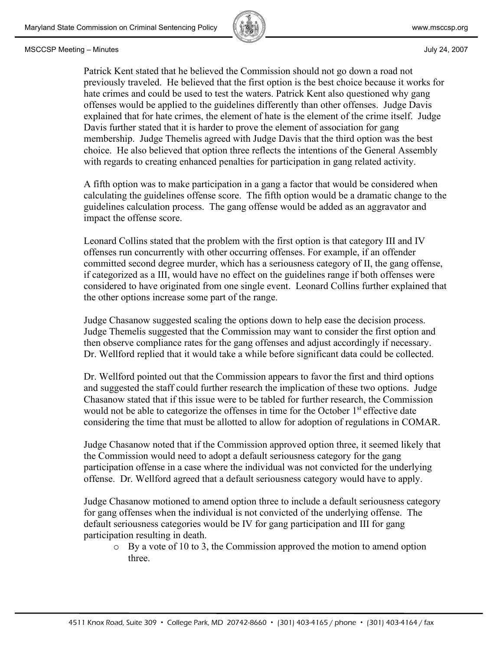

Patrick Kent stated that he believed the Commission should not go down a road not previously traveled. He believed that the first option is the best choice because it works for hate crimes and could be used to test the waters. Patrick Kent also questioned why gang offenses would be applied to the guidelines differently than other offenses. Judge Davis explained that for hate crimes, the element of hate is the element of the crime itself. Judge Davis further stated that it is harder to prove the element of association for gang membership. Judge Themelis agreed with Judge Davis that the third option was the best choice. He also believed that option three reflects the intentions of the General Assembly with regards to creating enhanced penalties for participation in gang related activity.

A fifth option was to make participation in a gang a factor that would be considered when calculating the guidelines offense score. The fifth option would be a dramatic change to the guidelines calculation process. The gang offense would be added as an aggravator and impact the offense score.

Leonard Collins stated that the problem with the first option is that category III and IV offenses run concurrently with other occurring offenses. For example, if an offender committed second degree murder, which has a seriousness category of II, the gang offense, if categorized as a III, would have no effect on the guidelines range if both offenses were considered to have originated from one single event. Leonard Collins further explained that the other options increase some part of the range.

Judge Chasanow suggested scaling the options down to help ease the decision process. Judge Themelis suggested that the Commission may want to consider the first option and then observe compliance rates for the gang offenses and adjust accordingly if necessary. Dr. Wellford replied that it would take a while before significant data could be collected.

Dr. Wellford pointed out that the Commission appears to favor the first and third options and suggested the staff could further research the implication of these two options. Judge Chasanow stated that if this issue were to be tabled for further research, the Commission would not be able to categorize the offenses in time for the October  $1<sup>st</sup>$  effective date considering the time that must be allotted to allow for adoption of regulations in COMAR.

Judge Chasanow noted that if the Commission approved option three, it seemed likely that the Commission would need to adopt a default seriousness category for the gang participation offense in a case where the individual was not convicted for the underlying offense. Dr. Wellford agreed that a default seriousness category would have to apply.

Judge Chasanow motioned to amend option three to include a default seriousness category for gang offenses when the individual is not convicted of the underlying offense. The default seriousness categories would be IV for gang participation and III for gang participation resulting in death.

o By a vote of 10 to 3, the Commission approved the motion to amend option three.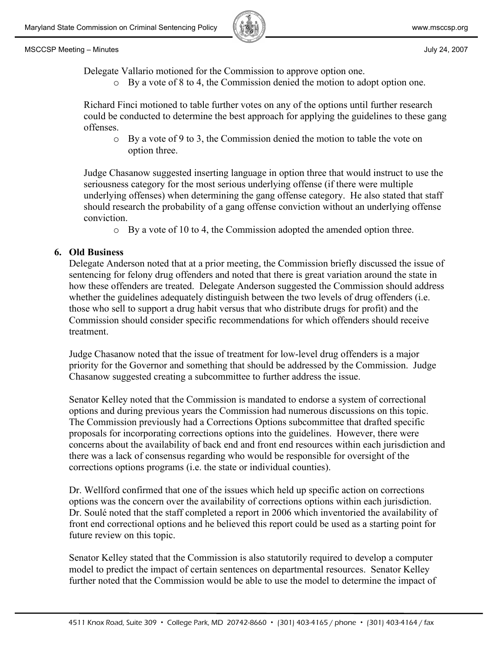

Delegate Vallario motioned for the Commission to approve option one.

o By a vote of 8 to 4, the Commission denied the motion to adopt option one.

Richard Finci motioned to table further votes on any of the options until further research could be conducted to determine the best approach for applying the guidelines to these gang offenses.

o By a vote of 9 to 3, the Commission denied the motion to table the vote on option three.

Judge Chasanow suggested inserting language in option three that would instruct to use the seriousness category for the most serious underlying offense (if there were multiple underlying offenses) when determining the gang offense category. He also stated that staff should research the probability of a gang offense conviction without an underlying offense conviction.

o By a vote of 10 to 4, the Commission adopted the amended option three.

## **6. Old Business**

Delegate Anderson noted that at a prior meeting, the Commission briefly discussed the issue of sentencing for felony drug offenders and noted that there is great variation around the state in how these offenders are treated. Delegate Anderson suggested the Commission should address whether the guidelines adequately distinguish between the two levels of drug offenders (i.e. those who sell to support a drug habit versus that who distribute drugs for profit) and the Commission should consider specific recommendations for which offenders should receive treatment.

Judge Chasanow noted that the issue of treatment for low-level drug offenders is a major priority for the Governor and something that should be addressed by the Commission. Judge Chasanow suggested creating a subcommittee to further address the issue.

Senator Kelley noted that the Commission is mandated to endorse a system of correctional options and during previous years the Commission had numerous discussions on this topic. The Commission previously had a Corrections Options subcommittee that drafted specific proposals for incorporating corrections options into the guidelines. However, there were concerns about the availability of back end and front end resources within each jurisdiction and there was a lack of consensus regarding who would be responsible for oversight of the corrections options programs (i.e. the state or individual counties).

Dr. Wellford confirmed that one of the issues which held up specific action on corrections options was the concern over the availability of corrections options within each jurisdiction. Dr. Soulé noted that the staff completed a report in 2006 which inventoried the availability of front end correctional options and he believed this report could be used as a starting point for future review on this topic.

Senator Kelley stated that the Commission is also statutorily required to develop a computer model to predict the impact of certain sentences on departmental resources. Senator Kelley further noted that the Commission would be able to use the model to determine the impact of